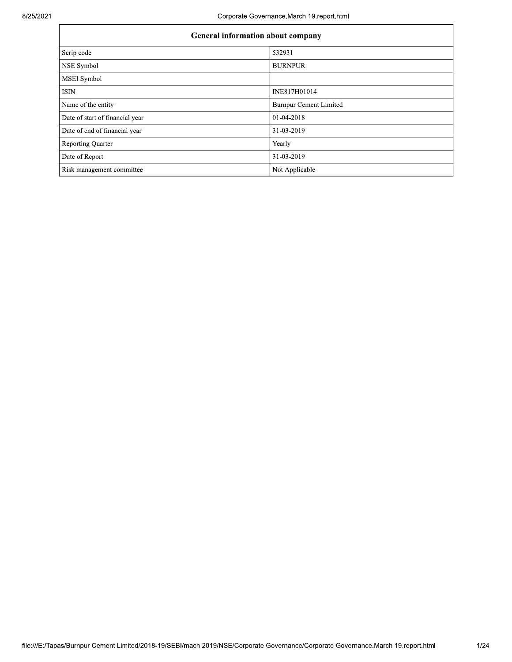| <b>General information about company</b> |                               |  |  |  |  |  |  |
|------------------------------------------|-------------------------------|--|--|--|--|--|--|
| Scrip code                               | 532931                        |  |  |  |  |  |  |
| NSE Symbol                               | <b>BURNPUR</b>                |  |  |  |  |  |  |
| MSEI Symbol                              |                               |  |  |  |  |  |  |
| <b>ISIN</b>                              | INE817H01014                  |  |  |  |  |  |  |
| Name of the entity                       | <b>Burnpur Cement Limited</b> |  |  |  |  |  |  |
| Date of start of financial year          | 01-04-2018                    |  |  |  |  |  |  |
| Date of end of financial year            | 31-03-2019                    |  |  |  |  |  |  |
| <b>Reporting Quarter</b>                 | Yearly                        |  |  |  |  |  |  |
| Date of Report                           | 31-03-2019                    |  |  |  |  |  |  |
| Risk management committee                | Not Applicable                |  |  |  |  |  |  |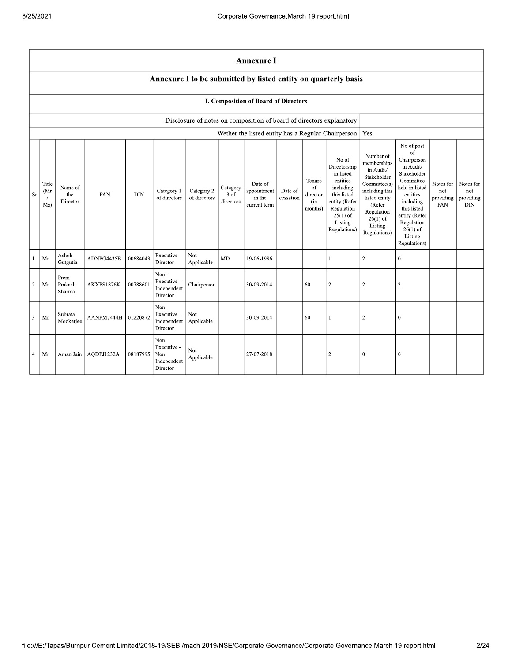|                | <b>Annexure I</b>                                                                                                                                                                                                                                                                                                                                                                                                                                   |                           |            |          |                                                       |                          |                                                                                                                                                                          |                                                                                                                                                                                                            |                                      |                                             |                                                                      |                |                  |  |  |
|----------------|-----------------------------------------------------------------------------------------------------------------------------------------------------------------------------------------------------------------------------------------------------------------------------------------------------------------------------------------------------------------------------------------------------------------------------------------------------|---------------------------|------------|----------|-------------------------------------------------------|--------------------------|--------------------------------------------------------------------------------------------------------------------------------------------------------------------------|------------------------------------------------------------------------------------------------------------------------------------------------------------------------------------------------------------|--------------------------------------|---------------------------------------------|----------------------------------------------------------------------|----------------|------------------|--|--|
|                | Annexure I to be submitted by listed entity on quarterly basis                                                                                                                                                                                                                                                                                                                                                                                      |                           |            |          |                                                       |                          |                                                                                                                                                                          |                                                                                                                                                                                                            |                                      |                                             |                                                                      |                |                  |  |  |
|                |                                                                                                                                                                                                                                                                                                                                                                                                                                                     |                           |            |          |                                                       |                          |                                                                                                                                                                          | I. Composition of Board of Directors                                                                                                                                                                       |                                      |                                             |                                                                      |                |                  |  |  |
|                |                                                                                                                                                                                                                                                                                                                                                                                                                                                     |                           |            |          |                                                       |                          |                                                                                                                                                                          |                                                                                                                                                                                                            |                                      |                                             | Disclosure of notes on composition of board of directors explanatory |                |                  |  |  |
|                |                                                                                                                                                                                                                                                                                                                                                                                                                                                     |                           |            |          |                                                       |                          |                                                                                                                                                                          |                                                                                                                                                                                                            |                                      |                                             | Wether the listed entity has a Regular Chairperson                   | Yes            |                  |  |  |
| Sr             | No of<br>Directorship<br>in listed<br>entities<br>Tenure<br>Title<br>Date of<br>including<br>Name of<br>of<br>Category<br>Category 2<br>appointment<br>Category 1<br>Date of<br>(Mr<br>PAN<br><b>DIN</b><br>this listed<br>the<br>3 of<br>director<br>of directors<br>of directors<br>in the<br>cessation<br>entity (Refer<br>Director<br>directors<br>(in<br>Ms)<br>current term<br>Regulation<br>months)<br>$25(1)$ of<br>Listing<br>Regulations) |                           |            |          |                                                       |                          | Number of<br>memberships<br>in Audit/<br>Stakeholder<br>Committee(s)<br>including this<br>listed entity<br>(Refer<br>Regulation<br>$26(1)$ of<br>Listing<br>Regulations) | No of post<br>of<br>Chairperson<br>in Audit/<br>Stakeholder<br>Committee<br>held in listed<br>entities<br>including<br>this listed<br>entity (Refer<br>Regulation<br>$26(1)$ of<br>Listing<br>Regulations) | Notes for<br>not<br>providing<br>PAN | Notes for<br>not<br>providing<br><b>DIN</b> |                                                                      |                |                  |  |  |
| $\mathbf{1}$   | Mr                                                                                                                                                                                                                                                                                                                                                                                                                                                  | Ashok<br>Gutgutia         | ADNPG4435B | 00684043 | Executive<br>Director                                 | <b>Not</b><br>Applicable | MD                                                                                                                                                                       | 19-06-1986                                                                                                                                                                                                 |                                      |                                             | 1                                                                    | $\sqrt{2}$     | $\boldsymbol{0}$ |  |  |
| $\overline{2}$ | Mr                                                                                                                                                                                                                                                                                                                                                                                                                                                  | Prem<br>Prakash<br>Sharma | AKXPS1876K | 00788601 | Non-<br>Executive -<br>Independent<br>Director        | Chairperson              |                                                                                                                                                                          | 30-09-2014                                                                                                                                                                                                 |                                      | 60                                          | $\,2$                                                                | $\sqrt{2}$     | $\sqrt{2}$       |  |  |
| $\overline{3}$ | Mr                                                                                                                                                                                                                                                                                                                                                                                                                                                  | Subrata<br>Mookerjee      | AANPM7444H | 01220872 | Non-<br>Executive -<br>Independent<br>Director        | <b>Not</b><br>Applicable |                                                                                                                                                                          | 30-09-2014                                                                                                                                                                                                 |                                      | 60                                          | $\mathbf{1}$                                                         | $\overline{c}$ | $\mathbf{0}$     |  |  |
| $\overline{4}$ | Mr                                                                                                                                                                                                                                                                                                                                                                                                                                                  | Aman Jain                 | AQDPJ1232A | 08187995 | Non-<br>Executive -<br>Non<br>Independent<br>Director | Not<br>Applicable        |                                                                                                                                                                          | 27-07-2018                                                                                                                                                                                                 |                                      |                                             | $\sqrt{2}$                                                           | $\bf{0}$       | $\boldsymbol{0}$ |  |  |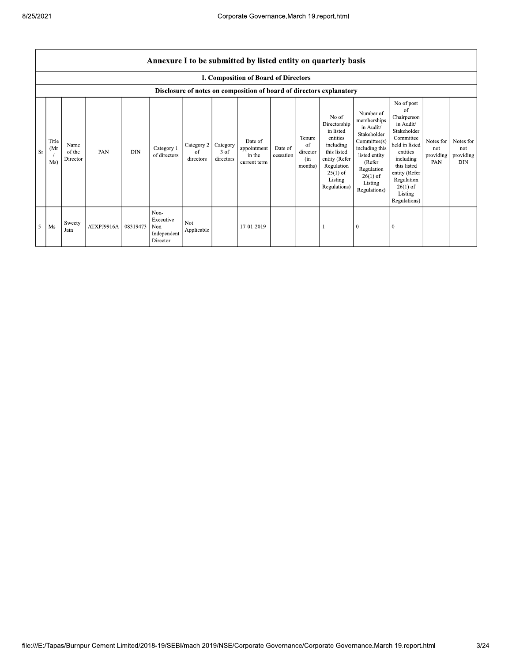|     | Annexure I to be submitted by listed entity on quarterly basis |                            |            |            |                                                       |                                          |                   |                                                  |                      |                                            |                                                                                                                                                    |                                                                                                                                                                          |                                                                                                                                                                                                            |                                      |                                             |
|-----|----------------------------------------------------------------|----------------------------|------------|------------|-------------------------------------------------------|------------------------------------------|-------------------|--------------------------------------------------|----------------------|--------------------------------------------|----------------------------------------------------------------------------------------------------------------------------------------------------|--------------------------------------------------------------------------------------------------------------------------------------------------------------------------|------------------------------------------------------------------------------------------------------------------------------------------------------------------------------------------------------------|--------------------------------------|---------------------------------------------|
|     |                                                                |                            |            |            |                                                       |                                          |                   | <b>I. Composition of Board of Directors</b>      |                      |                                            |                                                                                                                                                    |                                                                                                                                                                          |                                                                                                                                                                                                            |                                      |                                             |
|     |                                                                |                            |            |            |                                                       |                                          |                   |                                                  |                      |                                            | Disclosure of notes on composition of board of directors explanatory                                                                               |                                                                                                                                                                          |                                                                                                                                                                                                            |                                      |                                             |
| Sr. | Title<br>(Mr<br>Ms)                                            | Name<br>of the<br>Director | PAN        | <b>DIN</b> | Category 1<br>of directors                            | Category 2   Category<br>of<br>directors | 3 of<br>directors | Date of<br>appointment<br>in the<br>current term | Date of<br>cessation | Tenure<br>of<br>director<br>(in<br>months) | No of<br>Directorship<br>in listed<br>entities<br>including<br>this listed<br>entity (Refer<br>Regulation<br>$25(1)$ of<br>Listing<br>Regulations) | Number of<br>memberships<br>in Audit/<br>Stakeholder<br>Committee(s)<br>including this<br>listed entity<br>(Refer<br>Regulation<br>$26(1)$ of<br>Listing<br>Regulations) | No of post<br>of<br>Chairperson<br>in Audit/<br>Stakeholder<br>Committee<br>held in listed<br>entities<br>including<br>this listed<br>entity (Refer<br>Regulation<br>$26(1)$ of<br>Listing<br>Regulations) | Notes for<br>not<br>providing<br>PAN | Notes for<br>not<br>providing<br><b>DIN</b> |
| 5   | Ms                                                             | Sweety<br>Jain             | ATXPJ9916A | 08319473   | Non-<br>Executive -<br>Non<br>Independent<br>Director | Not<br>Applicable                        |                   | 17-01-2019                                       |                      |                                            |                                                                                                                                                    | $\theta$                                                                                                                                                                 | $\bf{0}$                                                                                                                                                                                                   |                                      |                                             |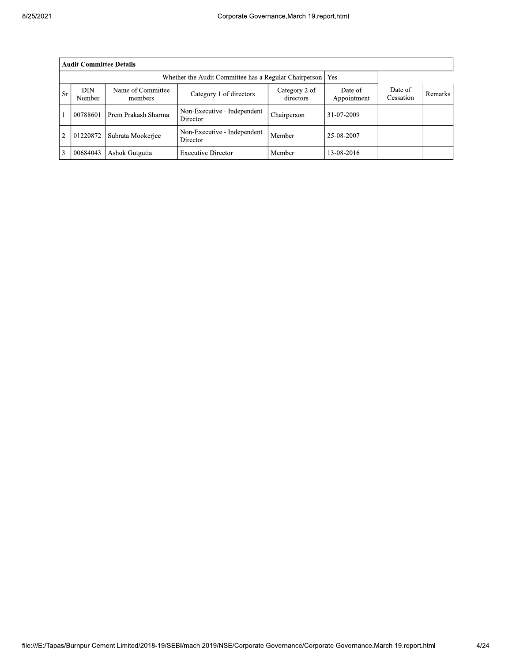| 8/25/2021 |                |                                                                                                         |                              |                           |                            |                        |                      |         |
|-----------|----------------|---------------------------------------------------------------------------------------------------------|------------------------------|---------------------------|----------------------------|------------------------|----------------------|---------|
|           |                | <b>Audit Committee Details</b>                                                                          |                              |                           |                            |                        |                      |         |
|           |                | Whether the Audit Committee has a Regular Chairperson   Yes                                             |                              |                           |                            |                        |                      |         |
|           | <b>Sr</b>      | <b>DIN</b><br>Number                                                                                    | Name of Committee<br>members | Category 1 of directors   | Category 2 of<br>directors | Date of<br>Appointment | Date of<br>Cessation | Remarks |
|           |                | Non-Executive - Independent<br>Chairperson<br>00788601<br>Prem Prakash Sharma<br>31-07-2009<br>Director |                              |                           |                            |                        |                      |         |
|           | $\overline{2}$ | Non-Executive - Independent<br>01220872<br>Subrata Mookerjee<br>Member<br>25-08-2007<br>Director        |                              |                           |                            |                        |                      |         |
|           | 3              | 00684043                                                                                                | Ashok Gutgutia               | <b>Executive Director</b> | Member                     | 13-08-2016             |                      |         |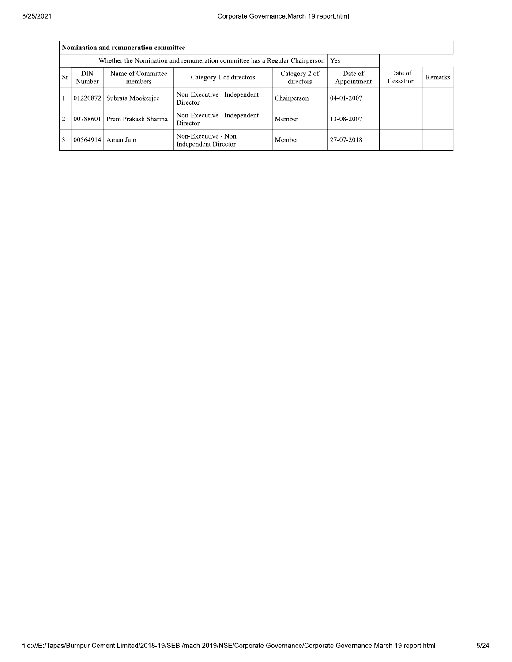|                | Nomination and remuneration committee                                       |                              |                                                    |                      |                |  |  |  |  |
|----------------|-----------------------------------------------------------------------------|------------------------------|----------------------------------------------------|----------------------|----------------|--|--|--|--|
|                | Whether the Nomination and remuneration committee has a Regular Chairperson |                              |                                                    |                      |                |  |  |  |  |
| <b>Sr</b>      | <b>DIN</b><br>Number                                                        | Name of Committee<br>members | Date of<br>Appointment                             | Date of<br>Cessation | <b>Remarks</b> |  |  |  |  |
|                | 01220872                                                                    | Subrata Mookerjee            | Non-Executive - Independent<br>Director            | Chairperson          | 04-01-2007     |  |  |  |  |
| $\overline{2}$ | 00788601                                                                    | Prem Prakash Sharma          | Non-Executive - Independent<br>Director            | Member               | 13-08-2007     |  |  |  |  |
| 3              | 00564914                                                                    | Aman Jain                    | Non-Executive - Non<br><b>Independent Director</b> | Member               | 27-07-2018     |  |  |  |  |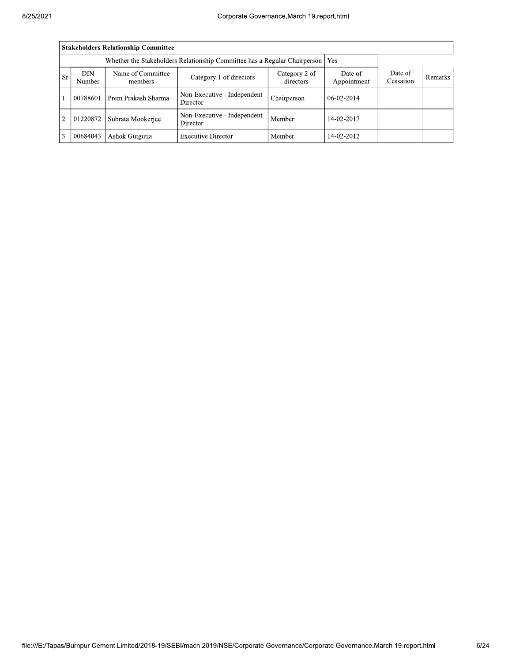|                | Stakeholders Relationship Committee                                       |                      |                                         |             |              |  |  |  |  |  |
|----------------|---------------------------------------------------------------------------|----------------------|-----------------------------------------|-------------|--------------|--|--|--|--|--|
|                | Whether the Stakeholders Relationship Committee has a Regular Chairperson |                      |                                         |             |              |  |  |  |  |  |
| <b>Sr</b>      | <b>DIN</b><br>Number                                                      | Date of<br>Cessation | <b>Remarks</b>                          |             |              |  |  |  |  |  |
| $\blacksquare$ | 00788601                                                                  | Prem Prakash Sharma  | Non-Executive - Independent<br>Director | Chairperson | $06-02-2014$ |  |  |  |  |  |
| $\overline{2}$ | 01220872                                                                  | Subrata Mookerjee    | Non-Executive - Independent<br>Director | Member      | 14-02-2017   |  |  |  |  |  |
| 3              | 00684043                                                                  | Ashok Gutgutia       | <b>Executive Director</b>               | Member      | 14-02-2012   |  |  |  |  |  |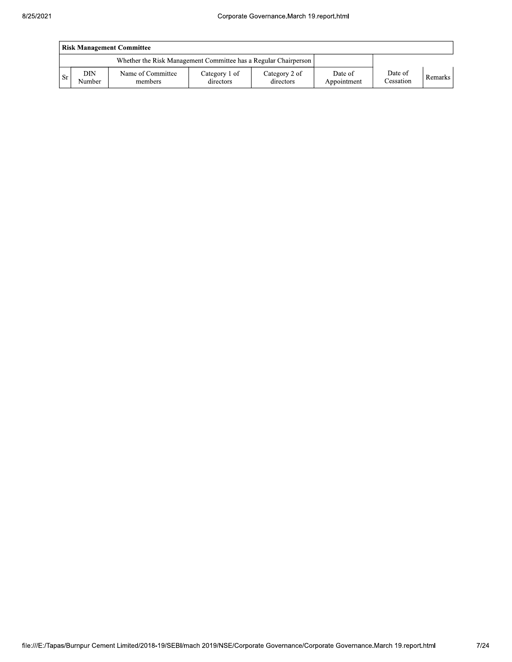|    | Risk Management Committee |                                                                 |                            |                            |                        |                      |         |  |  |  |
|----|---------------------------|-----------------------------------------------------------------|----------------------------|----------------------------|------------------------|----------------------|---------|--|--|--|
|    |                           | Whether the Risk Management Committee has a Regular Chairperson |                            |                            |                        |                      |         |  |  |  |
| Sr | DIN<br>Number             | Name of Committee<br>members                                    | Category 1 of<br>directors | Category 2 of<br>directors | Date of<br>Appointment | Date of<br>Cessation | Remarks |  |  |  |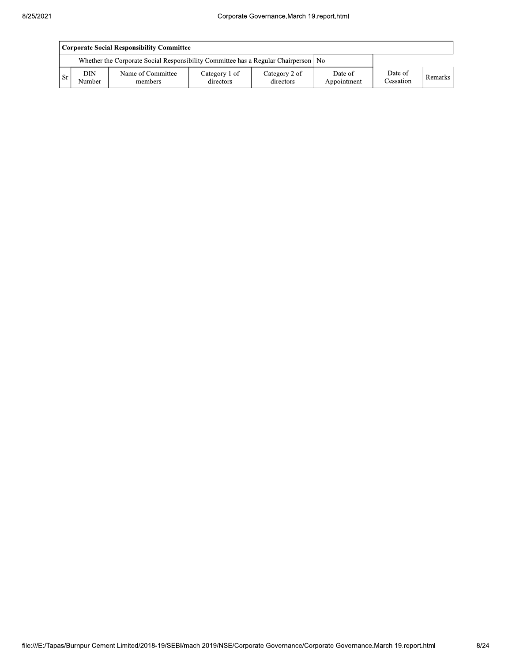|      | Corporate Social Responsibility Committee |                                                                                      |                            |                            |                        |                      |         |  |  |
|------|-------------------------------------------|--------------------------------------------------------------------------------------|----------------------------|----------------------------|------------------------|----------------------|---------|--|--|
|      |                                           | Whether the Corporate Social Responsibility Committee has a Regular Chairperson   No |                            |                            |                        |                      |         |  |  |
| l Sr | <b>DIN</b><br>Number                      | Name of Committee<br>members                                                         | Category 1 of<br>directors | Category 2 of<br>directors | Date of<br>Appointment | Date of<br>Cessation | Remarks |  |  |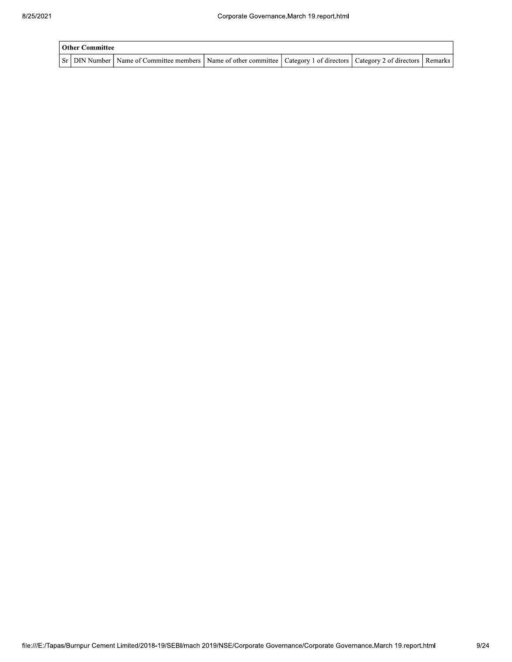| <b>Other Committee</b> |                                                                                                                                     |  |  |
|------------------------|-------------------------------------------------------------------------------------------------------------------------------------|--|--|
|                        | Sr   DIN Number   Name of Committee members   Name of other committee   Category 1 of directors   Category 2 of directors   Remarks |  |  |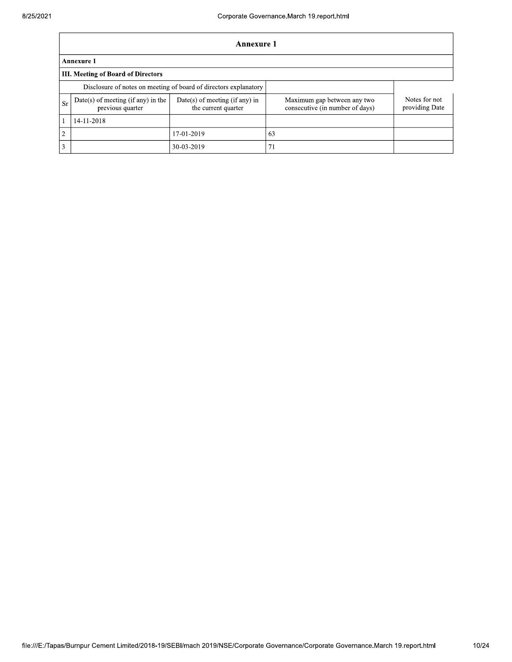$\overline{1}$ 

|                | <b>Annexure 1</b>                                                |                                                       |                                                                |                                 |  |  |  |  |  |  |
|----------------|------------------------------------------------------------------|-------------------------------------------------------|----------------------------------------------------------------|---------------------------------|--|--|--|--|--|--|
|                | <b>Annexure 1</b>                                                |                                                       |                                                                |                                 |  |  |  |  |  |  |
|                | <b>III. Meeting of Board of Directors</b>                        |                                                       |                                                                |                                 |  |  |  |  |  |  |
|                | Disclosure of notes on meeting of board of directors explanatory |                                                       |                                                                |                                 |  |  |  |  |  |  |
| <b>Sr</b>      | Date(s) of meeting (if any) in the<br>previous quarter           | Date(s) of meeting (if any) in<br>the current quarter | Maximum gap between any two<br>consecutive (in number of days) | Notes for not<br>providing Date |  |  |  |  |  |  |
|                | 14-11-2018                                                       |                                                       |                                                                |                                 |  |  |  |  |  |  |
| $\overline{2}$ |                                                                  | 17-01-2019                                            | 63                                                             |                                 |  |  |  |  |  |  |
| $\overline{3}$ |                                                                  | 30-03-2019                                            | 71                                                             |                                 |  |  |  |  |  |  |

٦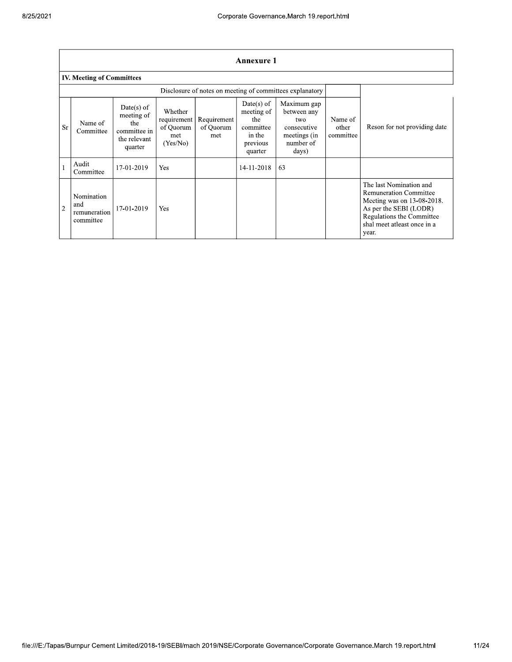|                |                                                |                                                                              |                                                        |                                 | <b>Annexure 1</b>                                                               |                                                                                        |                               |                                                                                                                                                                                       |
|----------------|------------------------------------------------|------------------------------------------------------------------------------|--------------------------------------------------------|---------------------------------|---------------------------------------------------------------------------------|----------------------------------------------------------------------------------------|-------------------------------|---------------------------------------------------------------------------------------------------------------------------------------------------------------------------------------|
|                | <b>IV. Meeting of Committees</b>               |                                                                              |                                                        |                                 |                                                                                 |                                                                                        |                               |                                                                                                                                                                                       |
|                |                                                |                                                                              |                                                        |                                 |                                                                                 | Disclosure of notes on meeting of committees explanatory                               |                               |                                                                                                                                                                                       |
| <b>Sr</b>      | Name of<br>Committee                           | $Date(s)$ of<br>meeting of<br>the<br>committee in<br>the relevant<br>quarter | Whether<br>requirement<br>of Quorum<br>met<br>(Yes/No) | Requirement<br>of Quorum<br>met | $Date(s)$ of<br>meeting of<br>the<br>committee<br>in the<br>previous<br>quarter | Maximum gap<br>between any<br>two<br>consecutive<br>meetings (in<br>number of<br>days) | Name of<br>other<br>committee | Reson for not providing date                                                                                                                                                          |
| $\mathbf{1}$   | Audit<br>Committee                             | 17-01-2019                                                                   | Yes                                                    |                                 | 14-11-2018                                                                      | 63                                                                                     |                               |                                                                                                                                                                                       |
| $\overline{2}$ | Nomination<br>and<br>remuneration<br>committee | 17-01-2019                                                                   | Yes                                                    |                                 |                                                                                 |                                                                                        |                               | The last Nomination and<br><b>Remuneration Committee</b><br>Meeting was on 13-08-2018.<br>As per the SEBI (LODR)<br>Regulations the Committee<br>shal meet atleast once in a<br>year. |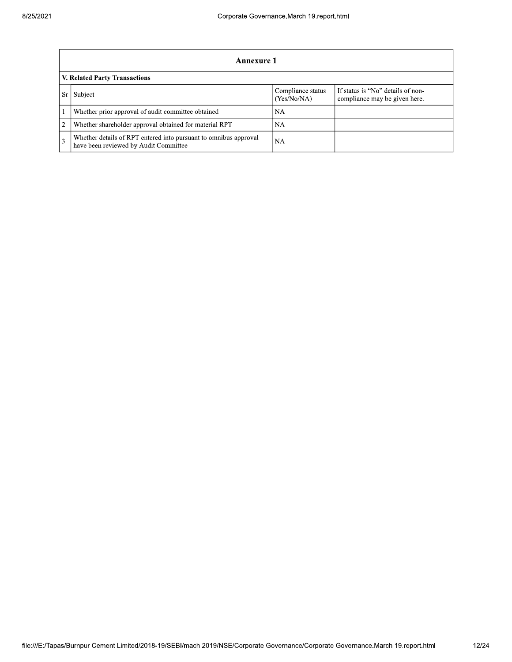|    | Annexure 1                                                                                                |                                  |                                                                    |  |  |  |  |  |  |
|----|-----------------------------------------------------------------------------------------------------------|----------------------------------|--------------------------------------------------------------------|--|--|--|--|--|--|
|    | V. Related Party Transactions                                                                             |                                  |                                                                    |  |  |  |  |  |  |
| Sr | Subject                                                                                                   | Compliance status<br>(Yes/No/NA) | If status is "No" details of non-<br>compliance may be given here. |  |  |  |  |  |  |
|    | Whether prior approval of audit committee obtained                                                        | NA                               |                                                                    |  |  |  |  |  |  |
| 2  | Whether shareholder approval obtained for material RPT                                                    | NA                               |                                                                    |  |  |  |  |  |  |
|    | Whether details of RPT entered into pursuant to omnibus approval<br>have been reviewed by Audit Committee | <b>NA</b>                        |                                                                    |  |  |  |  |  |  |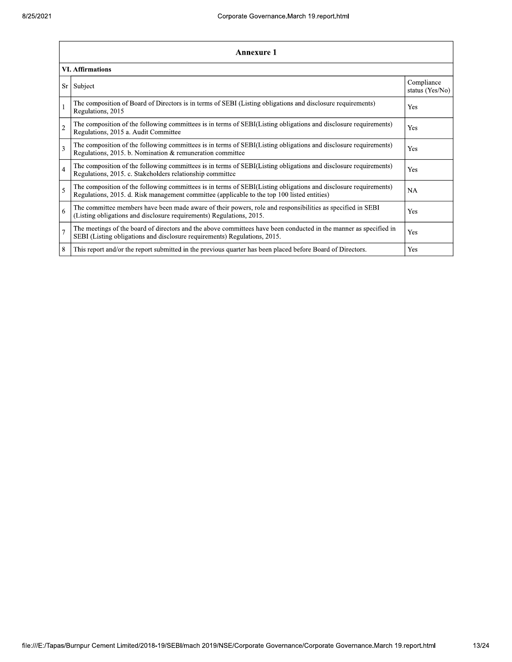|                | Annexure 1                                                                                                                                                                                                      |                               |  |  |
|----------------|-----------------------------------------------------------------------------------------------------------------------------------------------------------------------------------------------------------------|-------------------------------|--|--|
|                | <b>VI. Affirmations</b>                                                                                                                                                                                         |                               |  |  |
| Sr             | Subject                                                                                                                                                                                                         | Compliance<br>status (Yes/No) |  |  |
| $\mathbf{1}$   | The composition of Board of Directors is in terms of SEBI (Listing obligations and disclosure requirements)<br>Regulations, 2015                                                                                | Yes                           |  |  |
| $\overline{c}$ | The composition of the following committees is in terms of SEBI(Listing obligations and disclosure requirements)<br>Regulations, 2015 a. Audit Committee                                                        | Yes                           |  |  |
| 3              | The composition of the following committees is in terms of SEBI(Listing obligations and disclosure requirements)<br>Regulations, 2015. b. Nomination & remuneration committee                                   | Yes                           |  |  |
| $\overline{4}$ | The composition of the following committees is in terms of SEBI(Listing obligations and disclosure requirements)<br>Regulations, 2015. c. Stakeholders relationship committee                                   | Yes                           |  |  |
| 5              | The composition of the following committees is in terms of SEBI(Listing obligations and disclosure requirements)<br>Regulations, 2015. d. Risk management committee (applicable to the top 100 listed entities) | <b>NA</b>                     |  |  |
| 6              | The committee members have been made aware of their powers, role and responsibilities as specified in SEBI<br>(Listing obligations and disclosure requirements) Regulations, 2015.                              | Yes                           |  |  |
| $\overline{7}$ | The meetings of the board of directors and the above committees have been conducted in the manner as specified in<br>SEBI (Listing obligations and disclosure requirements) Regulations, 2015.                  | Yes                           |  |  |
| 8              | This report and/or the report submitted in the previous quarter has been placed before Board of Directors.                                                                                                      | Yes                           |  |  |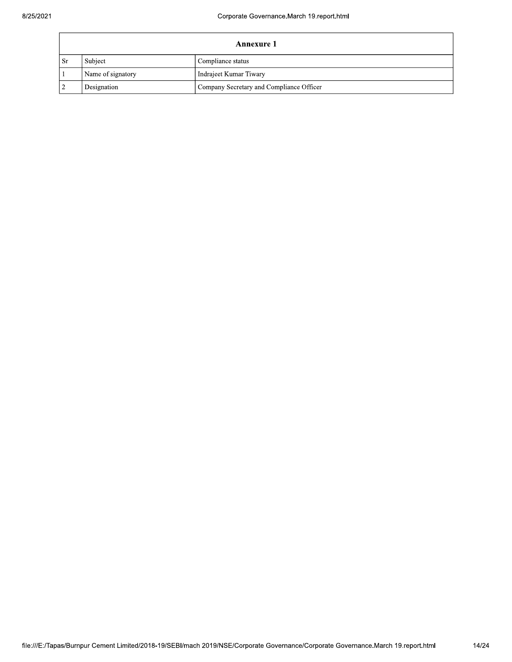|           | Annexure 1        |                                          |  |  |
|-----------|-------------------|------------------------------------------|--|--|
| <b>Sr</b> | Subject           | Compliance status                        |  |  |
|           | Name of signatory | Indrajeet Kumar Tiwary                   |  |  |
|           | Designation       | Company Secretary and Compliance Officer |  |  |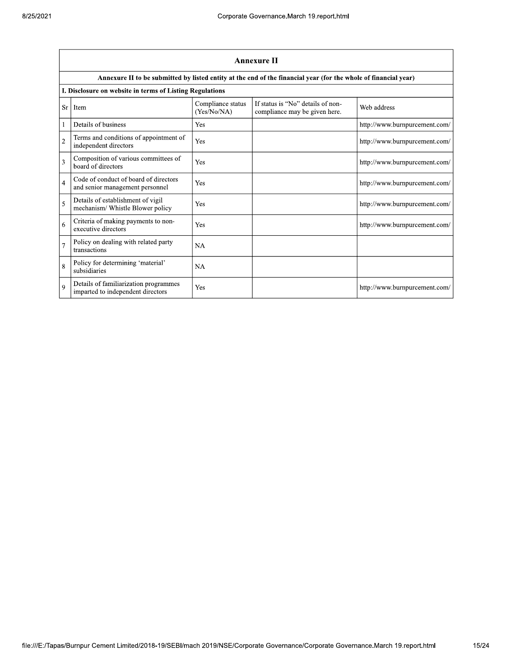|                | Annexure II                                                                |                                  |                                                                                                                 |                               |  |
|----------------|----------------------------------------------------------------------------|----------------------------------|-----------------------------------------------------------------------------------------------------------------|-------------------------------|--|
|                |                                                                            |                                  | Annexure II to be submitted by listed entity at the end of the financial year (for the whole of financial year) |                               |  |
|                | I. Disclosure on website in terms of Listing Regulations                   |                                  |                                                                                                                 |                               |  |
| Sr             | Item                                                                       | Compliance status<br>(Yes/No/NA) | If status is "No" details of non-<br>compliance may be given here.                                              | Web address                   |  |
|                | Details of business                                                        | Yes                              |                                                                                                                 | http://www.burnpurcement.com/ |  |
| $\overline{2}$ | Terms and conditions of appointment of<br>independent directors            | Yes                              |                                                                                                                 | http://www.burnpurcement.com/ |  |
| 3              | Composition of various committees of<br>board of directors                 | Yes                              |                                                                                                                 | http://www.burnpurcement.com/ |  |
| $\overline{4}$ | Code of conduct of board of directors<br>and senior management personnel   | Yes                              |                                                                                                                 | http://www.burnpurcement.com/ |  |
| 5              | Details of establishment of vigil<br>mechanism/ Whistle Blower policy      | Yes                              |                                                                                                                 | http://www.burnpurcement.com/ |  |
| 6              | Criteria of making payments to non-<br>executive directors                 | Yes                              |                                                                                                                 | http://www.burnpurcement.com/ |  |
| $\overline{7}$ | Policy on dealing with related party<br>transactions                       | <b>NA</b>                        |                                                                                                                 |                               |  |
| 8              | Policy for determining 'material'<br>subsidiaries                          | <b>NA</b>                        |                                                                                                                 |                               |  |
| $\mathbf Q$    | Details of familiarization programmes<br>imparted to independent directors | Yes                              |                                                                                                                 | http://www.burnpurcement.com/ |  |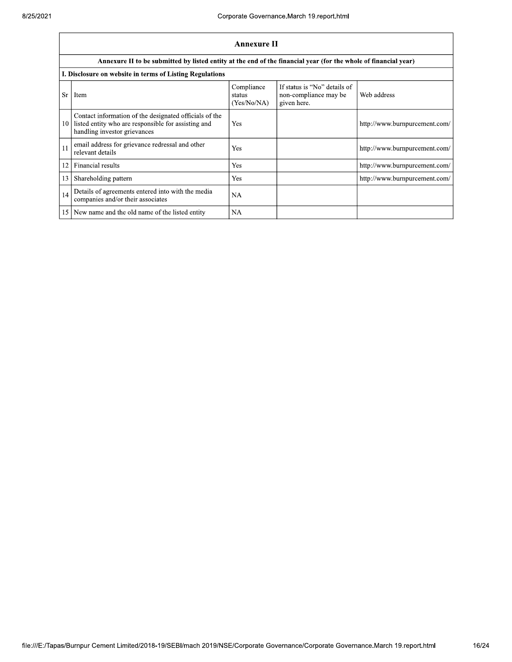|    | Annexure II                                                                                                                                   |                                     |                                                                      |                               |
|----|-----------------------------------------------------------------------------------------------------------------------------------------------|-------------------------------------|----------------------------------------------------------------------|-------------------------------|
|    | Annexure II to be submitted by listed entity at the end of the financial year (for the whole of financial year)                               |                                     |                                                                      |                               |
|    | I. Disclosure on website in terms of Listing Regulations                                                                                      |                                     |                                                                      |                               |
| Sr | Item                                                                                                                                          | Compliance<br>status<br>(Yes/No/NA) | If status is "No" details of<br>non-compliance may be<br>given here. | Web address                   |
| 10 | Contact information of the designated officials of the<br>listed entity who are responsible for assisting and<br>handling investor grievances | Yes                                 |                                                                      | http://www.burnpurcement.com/ |
| 11 | email address for grievance redressal and other<br>relevant details                                                                           | Yes                                 |                                                                      | http://www.burnpurcement.com/ |
| 12 | Financial results                                                                                                                             | Yes                                 |                                                                      | http://www.burnpurcement.com/ |
| 13 | Shareholding pattern                                                                                                                          | Yes                                 |                                                                      | http://www.burnpurcement.com/ |
| 14 | Details of agreements entered into with the media<br>companies and/or their associates                                                        | NA                                  |                                                                      |                               |
| 15 | New name and the old name of the listed entity                                                                                                | NA                                  |                                                                      |                               |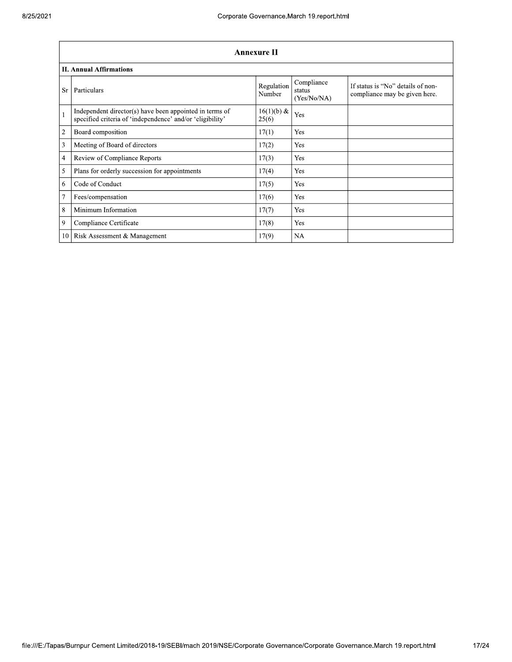|                | <b>Annexure II</b>                                                                                                   |                      |                                     |                                                                    |  |
|----------------|----------------------------------------------------------------------------------------------------------------------|----------------------|-------------------------------------|--------------------------------------------------------------------|--|
|                | <b>II. Annual Affirmations</b>                                                                                       |                      |                                     |                                                                    |  |
| <b>Sr</b>      | Particulars                                                                                                          | Regulation<br>Number | Compliance<br>status<br>(Yes/No/NA) | If status is "No" details of non-<br>compliance may be given here. |  |
| $\mathbf{1}$   | Independent director(s) have been appointed in terms of<br>specified criteria of 'independence' and/or 'eligibility' | 16(1)(b) &<br>25(6)  | Yes                                 |                                                                    |  |
| $\overline{2}$ | Board composition                                                                                                    | 17(1)                | Yes                                 |                                                                    |  |
| 3              | Meeting of Board of directors                                                                                        | 17(2)                | Yes                                 |                                                                    |  |
| 4              | Review of Compliance Reports                                                                                         | 17(3)                | Yes                                 |                                                                    |  |
| 5              | Plans for orderly succession for appointments                                                                        | 17(4)                | Yes                                 |                                                                    |  |
| 6              | Code of Conduct                                                                                                      | 17(5)                | Yes                                 |                                                                    |  |
| $\overline{7}$ | Fees/compensation                                                                                                    | 17(6)                | Yes                                 |                                                                    |  |
| 8              | Minimum Information                                                                                                  | 17(7)                | Yes                                 |                                                                    |  |
| 9              | Compliance Certificate                                                                                               | 17(8)                | Yes                                 |                                                                    |  |
| 10             | Risk Assessment & Management                                                                                         | 17(9)                | NA                                  |                                                                    |  |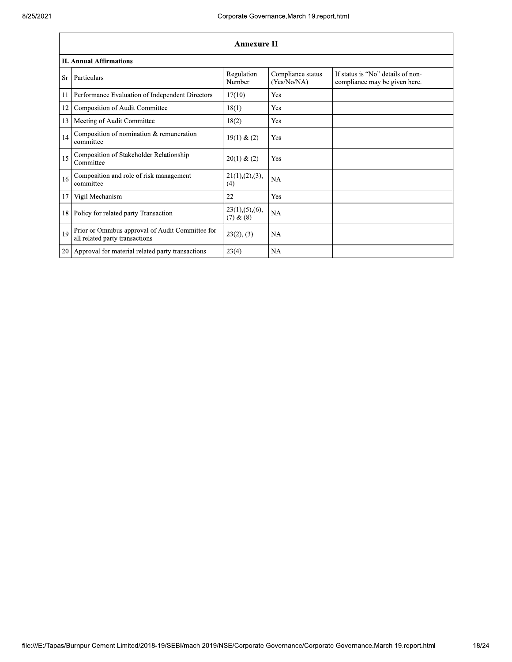|    | <b>Annexure II</b>                                                                 |                                   |                                  |                                                                    |  |
|----|------------------------------------------------------------------------------------|-----------------------------------|----------------------------------|--------------------------------------------------------------------|--|
|    | <b>II. Annual Affirmations</b>                                                     |                                   |                                  |                                                                    |  |
| Sr | Particulars                                                                        | Regulation<br>Number              | Compliance status<br>(Yes/No/NA) | If status is "No" details of non-<br>compliance may be given here. |  |
| 11 | Performance Evaluation of Independent Directors                                    | 17(10)                            | Yes                              |                                                                    |  |
| 12 | Composition of Audit Committee                                                     | 18(1)                             | Yes                              |                                                                    |  |
| 13 | Meeting of Audit Committee                                                         | 18(2)                             | Yes                              |                                                                    |  |
| 14 | Composition of nomination & remuneration<br>committee                              | 19(1) & (2)                       | Yes                              |                                                                    |  |
| 15 | Composition of Stakeholder Relationship<br>Committee                               | 20(1) & (2)                       | Yes                              |                                                                    |  |
| 16 | Composition and role of risk management<br>committee                               | 21(1), (2), (3),<br>(4)           | NA                               |                                                                    |  |
| 17 | Vigil Mechanism                                                                    | 22                                | Yes                              |                                                                    |  |
| 18 | Policy for related party Transaction                                               | 23(1), (5), (6),<br>$(7)$ & $(8)$ | NA                               |                                                                    |  |
| 19 | Prior or Omnibus approval of Audit Committee for<br>all related party transactions | 23(2), (3)                        | <b>NA</b>                        |                                                                    |  |
| 20 | Approval for material related party transactions                                   | 23(4)                             | NA                               |                                                                    |  |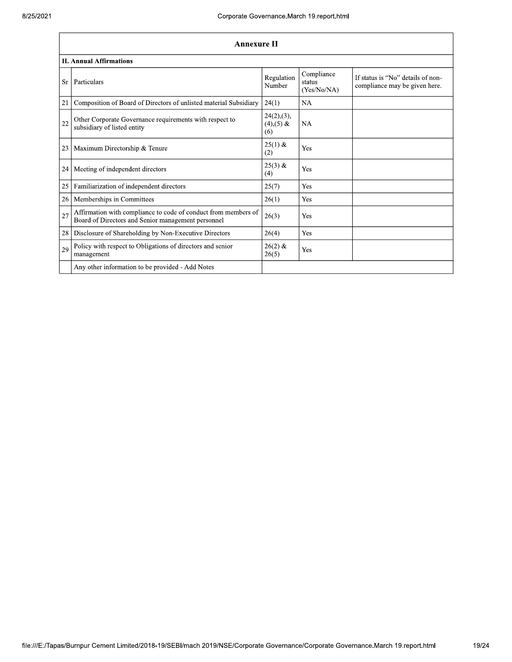|           | <b>Annexure II</b>                                                                                                   |                                      |                                     |                                                                    |
|-----------|----------------------------------------------------------------------------------------------------------------------|--------------------------------------|-------------------------------------|--------------------------------------------------------------------|
|           | <b>II. Annual Affirmations</b>                                                                                       |                                      |                                     |                                                                    |
| <b>Sr</b> | Particulars                                                                                                          | Regulation<br>Number                 | Compliance<br>status<br>(Yes/No/NA) | If status is "No" details of non-<br>compliance may be given here. |
| 21        | Composition of Board of Directors of unlisted material Subsidiary                                                    | 24(1)                                | <b>NA</b>                           |                                                                    |
| 22        | Other Corporate Governance requirements with respect to<br>subsidiary of listed entity                               | 24(2),(3),<br>$(4)$ , $(5)$ &<br>(6) | <b>NA</b>                           |                                                                    |
| 23        | Maximum Directorship & Tenure                                                                                        | $25(1)$ &<br>(2)                     | Yes                                 |                                                                    |
| 24        | Meeting of independent directors                                                                                     | $25(3)$ &<br>(4)                     | Yes                                 |                                                                    |
| 25        | Familiarization of independent directors                                                                             | 25(7)                                | Yes                                 |                                                                    |
| 26        | Memberships in Committees                                                                                            | 26(1)                                | Yes                                 |                                                                    |
| 27        | Affirmation with compliance to code of conduct from members of<br>Board of Directors and Senior management personnel | 26(3)                                | Yes                                 |                                                                    |
| 28        | Disclosure of Shareholding by Non-Executive Directors                                                                | 26(4)                                | Yes                                 |                                                                    |
| 29        | Policy with respect to Obligations of directors and senior<br>management                                             | $26(2)$ &<br>26(5)                   | Yes                                 |                                                                    |
|           | Any other information to be provided - Add Notes                                                                     |                                      |                                     |                                                                    |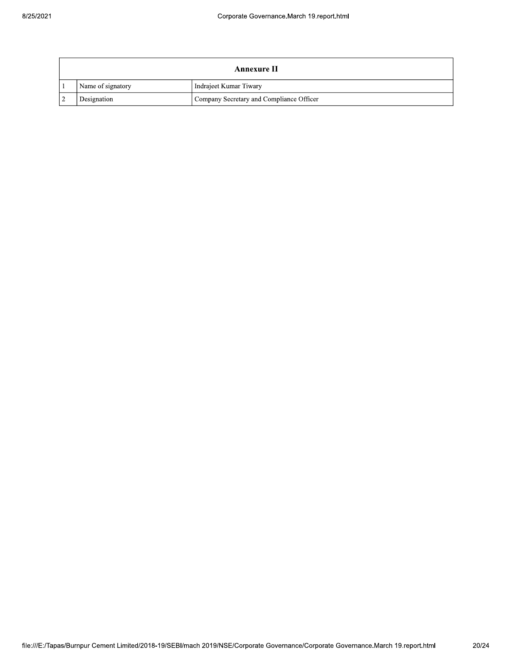| Annexure II       |                                          |  |
|-------------------|------------------------------------------|--|
| Name of signatory | Indrajeet Kumar Tiwary                   |  |
| Designation       | Company Secretary and Compliance Officer |  |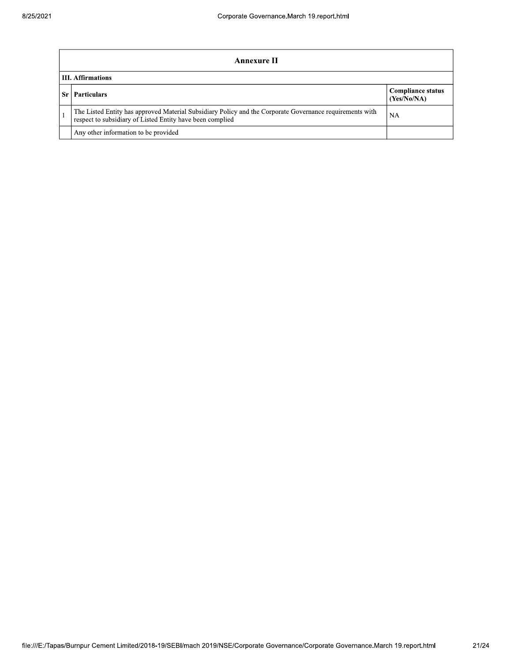| Annexure II                                                                                                                                                           |                                         |  |  |
|-----------------------------------------------------------------------------------------------------------------------------------------------------------------------|-----------------------------------------|--|--|
| <b>III.</b> Affirmations                                                                                                                                              |                                         |  |  |
| <b>Particulars</b>                                                                                                                                                    | <b>Compliance status</b><br>(Yes/No/NA) |  |  |
| The Listed Entity has approved Material Subsidiary Policy and the Corporate Governance requirements with<br>respect to subsidiary of Listed Entity have been complied | NA                                      |  |  |
| Any other information to be provided                                                                                                                                  |                                         |  |  |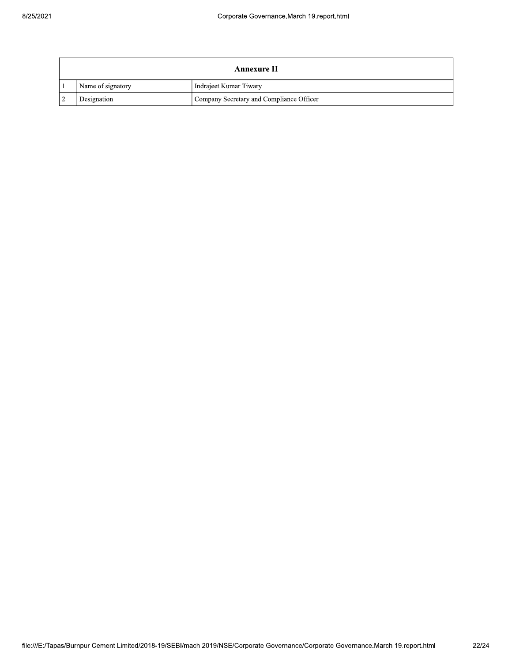| Annexure II       |                                          |  |
|-------------------|------------------------------------------|--|
| Name of signatory | Indrajeet Kumar Tiwary                   |  |
| Designation       | Company Secretary and Compliance Officer |  |